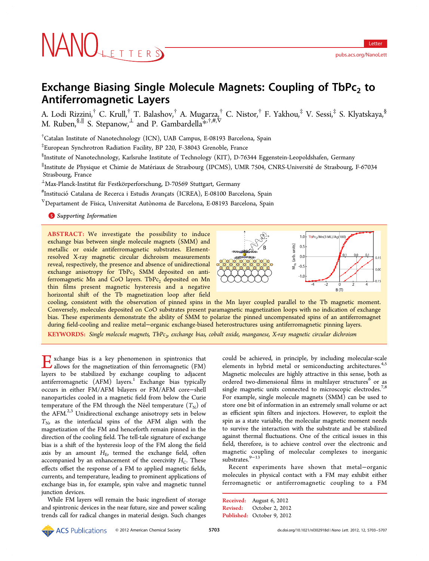# NANOLETTERS

# Exchange Biasing Single Molecule Magnets: Coupling of  $\text{TbPc}_2$  to Antiferromagnetic Layers

A. Lodi Rizzini,† C. Krull,† T. Balashov,† A. Mugarza,† C. Nistor,† F. Yakhou,‡ V. Sessi,‡ S. Klyatskaya,§ M. Ruben, ${}^{\$,||}$  S. Stepanow, ${}^{\bot}$  and P. Gambardella ${}^{\divideontimes,\dagger,\#,\nabla}$ 

† Catalan Institute of Nanotechnology (ICN), UAB Campus, E-08193 Barcelona, Spain

‡ European Synchrotron Radiation Facility, BP 220, F-38043 Grenoble, France

§ Institute of Nanotechnology, Karlsruhe Institute of Technology (KIT), D-76344 Eggenstein-Leopoldshafen, Germany

∥ Institute de Physique et Chimie de Materiaux de Strasbourg (IPCMS), UMR 7504, CNRS-Universite ́ ́de Strasbourg, F-67034 Strasbourg, France

 $^\perp$ Max-Planck-Institut für Festkörperforschung, D-70569 Stuttgart, Germany

# InstitucióCatalana de Recerca i Estudis Avancats (ICREA), E-08100 Barcelona, Spain ̧

 $^{\nabla}$ Departament de Física, Universitat Autònoma de Barcelona, E-08193 Barcelona, Spain

**S** [Supporting Information](#page-3-0)

ABSTRACT: We investigate the possibility to induce exchange bias between single molecule magnets (SMM) and metallic or oxide antiferromagnetic substrates. Elementresolved X-ray magnetic circular dichroism measurements reveal, respectively, the presence and absence of unidirectional exchange anisotropy for  $TbPc<sub>2</sub>$  SMM deposited on antiferromagnetic Mn and CoO layers. TbPc<sub>2</sub> deposited on Mn thin films present magnetic hysteresis and a negative horizontal shift of the Tb magnetization loop after field



cooling, consistent with the observation of pinned spins in the Mn layer coupled parallel to the Tb magnetic moment. Conversely, molecules deposited on CoO substrates present paramagnetic magnetization loops with no indication of exchange bias. These experiments demonstrate the ability of SMM to polarize the pinned uncompensated spins of an antiferromagnet during field-cooling and realize metal−organic exchange-biased heterostructures using antiferromagnetic pinning layers.

KEYWORDS: Single molecule magnets, TbPc<sub>2</sub>, exchange bias, cobalt oxide, manganese, X-ray magnetic circular dichroism

Exchange bias is a key phenomenon in spintronics that allows for the magnetization of thin ferromagnetic (FM) layers to be stabilized by exchange coupling to adjacent antiferromagnetic (AFM) layers.<sup>[1](#page-3-0)</sup> Exchange bias typically occurs in either FM/AFM bilayers or FM/AFM core−shell nanoparticles cooled in a magnetic field from below the Curie temperature of the FM through the Néel temperature  $(T_N)$  of the AFM. $2,3$  $2,3$  $2,3$  Unidirectional exchange anisotropy sets in below  $T_{N}$ , as the interfacial spins of the AFM align with the magnetization of the FM and henceforth remain pinned in the direction of the cooling field. The tell-tale signature of exchange bias is a shift of the hysteresis loop of the FM along the field axis by an amount  $H<sub>E</sub>$ , termed the exchange field, often accompanied by an enhancement of the coercivity  $H_C$ . These effects offset the response of a FM to applied magnetic fields, currents, and temperature, leading to prominent applications of exchange bias in, for example, spin valve and magnetic tunnel junction devices.

While FM layers will remain the basic ingredient of storage and spintronic devices in the near future, size and power scaling trends call for radical changes in material design. Such changes

could be achieved, in principle, by including molecular-scale elements in hybrid metal or semiconducting architectures.<sup>[4](#page-3-0),[5](#page-3-0)</sup> Magnetic molecules are highly attractive in this sense, both as ordered two-dimensional films in multilayer structures<sup>[6](#page-4-0)</sup> or as single magnetic units connected to microscopic electrodes.<sup>[7](#page-4-0),[8](#page-4-0)</sup> For example, single molecule magnets (SMM) can be used to store one bit of information in an extremely small volume or act as efficient spin filters and injectors. However, to exploit the spin as a state variable, the molecular magnetic moment needs to survive the interaction with the substrate and be stabilized against thermal fluctuations. One of the critical issues in this field, therefore, is to achieve control over the electronic and magnetic coupling of molecular complexes to inorganic substrates.[9](#page-4-0)−[13](#page-4-0)

Recent experiments have shown that metal−organic molecules in physical contact with a FM may exhibit either ferromagnetic or antiferromagnetic coupling to a FM

© 2012 American Chemical Society 5703 dx.doi.org/10.1021/nl302918d | Nano Lett. 2012, 12, 5703−5707 فقط ACS Publications © 2012 American Chemical Society

Received: August 6, 2012 Revised: October 2, 2012 Published: October 9, 2012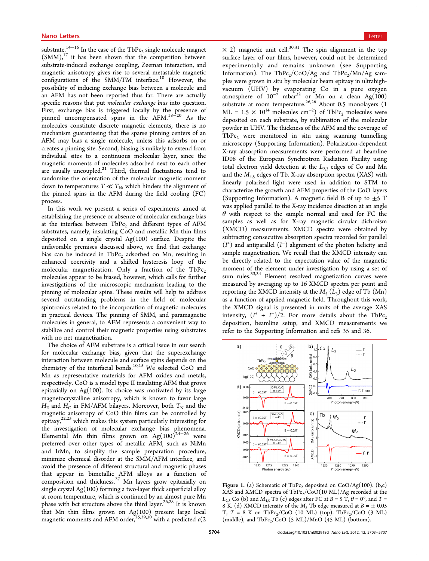<span id="page-1-0"></span>substrate.<sup>[14](#page-4-0)−[16](#page-4-0)</sup> In the case of the TbPc<sub>2</sub> single molecule magnet  $(SMM)$ ,<sup>[17](#page-4-0)</sup> it has been shown that the competition between substrate-induced exchange coupling, Zeeman interaction, and magnetic anisotropy gives rise to several metastable magnetic configurations of the SMM/FM interface.<sup>[10](#page-4-0)</sup> However, the possibility of inducing exchange bias between a molecule and an AFM has not been reported thus far. There are actually specific reasons that put molecular exchange bias into question. First, exchange bias is triggered locally by the presence of pinned uncompensated spins in the AFM.[18](#page-4-0)−[20](#page-4-0) As the molecules constitute discrete magnetic elements, there is no mechanism guaranteeing that the sparse pinning centers of an AFM may bias a single molecule, unless this adsorbs on or creates a pinning site. Second, biasing is unlikely to extend from individual sites to a continuous molecular layer, since the magnetic moments of molecules adsorbed next to each other are usually uncoupled.<sup>[21](#page-4-0)</sup> Third, thermal fluctuations tend to randomize the orientation of the molecular magnetic moment down to temperatures  $T \ll T_N$ , which hinders the alignment of the pinned spins in the AFM during the field cooling (FC) process.

In this work we present a series of experiments aimed at establishing the presence or absence of molecular exchange bias at the interface between  $TbPc<sub>2</sub>$  and different types of AFM substrates, namely, insulating CoO and metallic Mn thin films deposited on a single crystal Ag(100) surface. Despite the unfavorable premises discussed above, we find that exchange bias can be induced in TbPc<sub>2</sub> adsorbed on Mn, resulting in enhanced coercivity and a shifted hysteresis loop of the molecular magnetization. Only a fraction of the  $TbPc_2$ molecules appear to be biased, however, which calls for further investigations of the microscopic mechanism leading to the pinning of molecular spins. These results will help to address several outstanding problems in the field of molecular spintronics related to the incorporation of magnetic molecules in practical devices. The pinning of SMM, and paramagnetic molecules in general, to AFM represents a convenient way to stabilize and control their magnetic properties using substrates with no net magnetization.

The choice of AFM substrate is a critical issue in our search for molecular exchange bias, given that the superexchange interaction between molecule and surface spins depends on the chemistry of the interfacial bonds.[10,15](#page-4-0) We selected CoO and Mn as representative materials for AFM oxides and metals, respectively. CoO is a model type II insulating AFM that grows epitaxially on  $Ag(100)$ . Its choice was motivated by its large magnetocrystalline anisotropy, which is known to favor large  $H<sub>E</sub>$  and  $H<sub>C</sub>$  in FM/AFM bilayers. Moreover, both  $T<sub>N</sub>$  and the magnetic anisotropy of CoO thin films can be controlled by epitaxy,[22,23](#page-4-0) which makes this system particularly interesting for the investigation of molecular exchange bias phenomena. Elemental Mn thin films grown on  $Ag(100)^{24-26}$  $Ag(100)^{24-26}$  $Ag(100)^{24-26}$  $Ag(100)^{24-26}$  $Ag(100)^{24-26}$  were preferred over other types of metallic AFM, such as NiMn and IrMn, to simplify the sample preparation procedure, minimize chemical disorder at the SMM/AFM interface, and avoid the presence of different structural and magnetic phases that appear in bimetallic AFM alloys as a function of composition and thickness.<sup>[27](#page-4-0)</sup> Mn layers grow epitaxially on single crystal Ag(100) forming a two-layer thick superficial alloy at room temperature, which is continued by an almost pure Mn phase with bct structure above the third layer.<sup>[26,28](#page-4-0)</sup> It is known that Mn thin films grown on  $Ag(100)$  present large local magnetic moments and AFM order,  $\sum_{i=1}^{25,29,30}$  $\sum_{i=1}^{25,29,30}$  $\sum_{i=1}^{25,29,30}$  $\sum_{i=1}^{25,29,30}$  $\sum_{i=1}^{25,29,30}$  with a predicted  $c(2)$ 

 $\times$  2) magnetic unit cell.<sup>[30](#page-4-0),[31](#page-4-0)</sup> The spin alignment in the top surface layer of our films, however, could not be determined experimentally and remains unknown (see [Supporting](#page-3-0) [Information\)](#page-3-0). The TbPc<sub>2</sub>/CoO/Ag and TbPc<sub>2</sub>/Mn/Ag samples were grown in situ by molecular beam epitaxy in ultrahighvacuum (UHV) by evaporating Co in a pure oxygen atmosphere of  $10^{-7}$  mbar<sup>[32](#page-4-0)</sup> or Mn on a clean Ag(100) substrate at room temperature.<sup>[26,28](#page-4-0)</sup> About 0.5 monolayers (1  $ML = 1.5 \times 10^{14}$  molecules cm<sup>-2</sup>) of TbPc<sub>2</sub> molecules were deposited on each substrate, by sublimation of the molecular powder in UHV. The thickness of the AFM and the coverage of  $TbPc<sub>2</sub>$  were monitored in situ using scanning tunnelling microscopy ([Supporting Information\)](#page-3-0). Polarization-dependent X-ray absorption measurements were performed at beamline ID08 of the European Synchrotron Radiation Facility using total electron yield detection at the  $L_{2,3}$  edges of Co and Mn and the  $M_{4.5}$  edges of Tb. X-ray absorption spectra (XAS) with linearly polarized light were used in addition to STM to characterize the growth and AFM properties of the CoO layers [\(Supporting Information\)](#page-3-0). A magnetic field **B** of up to  $\pm$ 5 T was applied parallel to the X-ray incidence direction at an angle  $\theta$  with respect to the sample normal and used for FC the samples as well as for X-ray magnetic circular dichroism (XMCD) measurements. XMCD spectra were obtained by subtracting consecutive absorption spectra recorded for parallel  $(I^+)$  and antiparallel  $(I^-)$  alignment of the photon helicity and sample magnetization. We recall that the XMCD intensity can be directly related to the expectation value of the magnetic moment of the element under investigation by using a set of sum rules.<sup>[33](#page-4-0),[34](#page-4-0)</sup> Element resolved magnetization curves were measured by averaging up to 16 XMCD spectra per point and reporting the XMCD intensity at the  $M_5$  ( $L_3$ ) edge of Tb (Mn) as a function of applied magnetic field. Throughout this work, the XMCD signal is presented in units of the average XAS intensity,  $(I^+ + I^-)/2$ . For more details about the TbPc<sub>2</sub> deposition, beamline setup, and XMCD measurements we refer to the [Supporting Information](#page-3-0) and refs [35](#page-4-0) and [36](#page-4-0).



Figure 1. (a) Schematic of TbPc<sub>2</sub> deposited on  $CoO/Ag(100)$ . (b,c) XAS and XMCD spectra of  $TbPc_2/CoO(10 ML)/Ag$  recorded at the  $L_{2,3}$  Co (b) and  $M_{4,5}$  Tb (c) edges after FC at  $B = 5$  T,  $\theta = 0^{\circ}$ , and T = 8 K. (d) XMCD intensity of the  $M_5$  Tb edge measured at  $B = \pm 0.05$ T,  $T = 8$  K on TbPc<sub>2</sub>/CoO (10 ML) (top), TbPc<sub>2</sub>/CoO (3 ML) (middle), and  $TbPc_2/CoO$  (5 ML)/MnO (45 ML) (bottom).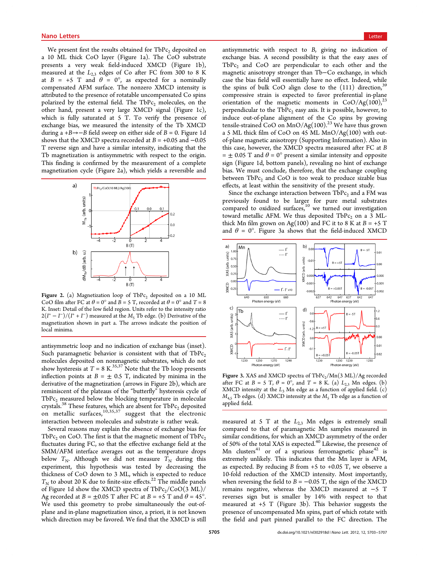<span id="page-2-0"></span>We present first the results obtained for  $TbPc<sub>2</sub>$  deposited on a 10 ML thick CoO layer (Figure [1a](#page-1-0)). The CoO substrate presents a very weak field-induced XMCD (Figure [1b](#page-1-0)), measured at the  $L_{2,3}$  edges of Co after FC from 300 to 8 K at  $B = +5$  T and  $\theta = 0^{\circ}$ , as expected for a nominally compensated AFM surface. The nonzero XMCD intensity is attributed to the presence of rotatable uncompensated Co spins polarized by the external field. The TbPc<sub>2</sub> molecules, on the other hand, present a very large XMCD signal (Figure [1c](#page-1-0)), which is fully saturated at 5 T. To verify the presence of exchange bias, we measured the intensity of the Tb XMCD during a +B→−B field sweep on either side of  $B = 0$ . Figure [1d](#page-1-0) shows that the XMCD spectra recorded at  $B = +0.05$  and  $-0.05$ T reverse sign and have a similar intensity, indicating that the Tb magnetization is antisymmetric with respect to the origin. This finding is confirmed by the measurement of a complete magnetization cycle (Figure 2a), which yields a reversible and



Figure 2. (a) Magnetization loop of  $TbPc<sub>2</sub>$  deposited on a 10 ML CoO film after FC at  $\theta = 0^{\circ}$  and  $B = 5$  T, recorded at  $\theta = 0^{\circ}$  and  $T = 8$ K. Inset: Detail of the low field region. Units refer to the intensity ratio  $2(I^+ - I^-)/(I^+ + I^-)$  measured at the  $M_5$  Tb edge. (b) Derivative of the magnetization shown in part a. The arrows indicate the position of local minima.

antisymmetric loop and no indication of exchange bias (inset). Such paramagnetic behavior is consistent with that of  $TbPc<sub>2</sub>$ molecules deposited on nonmagnetic substrates, which do not show hysteresis at  $T = 8$  K.<sup>[35,37](#page-4-0)</sup> Note that the Tb loop presents inflection points at  $B = \pm 0.5$  T, indicated by minima in the derivative of the magnetization (arrows in Figure 2b), which are reminiscent of the plateaus of the "butterfly" hysteresis cycle of  $TbPc<sub>2</sub>$  measured below the blocking temperature in molecular crystals.<sup>[38](#page-4-0)</sup> These features, which are absent for  $TbPc<sub>2</sub>$  deposited on metallic surfaces,  $10,35,37$  $10,35,37$  $10,35,37$  suggest that the electronic interaction between molecules and substrate is rather weak.

Several reasons may explain the absence of exchange bias for TbPc<sub>2</sub> on CoO. The first is that the magnetic moment of TbPc<sub>2</sub> fluctuates during FC, so that the effective exchange field at the SMM/AFM interface averages out as the temperature drops below  $T_N$ . Although we did not measure  $T_N$  during this experiment, this hypothesis was tested by decreasing the thickness of CoO down to 3 ML, which is expected to reduce  $T_{\rm N}$  to about 20 K due to finite-size effects.<sup>[22](#page-4-0)</sup> The middle panels of Figure [1d](#page-1-0) show the XMCD spectra of  $TbPc_2/CoO(3 ML)/$ Ag recorded at  $B = \pm 0.05$  T after FC at  $B = +5$  T and  $\theta = 45^{\circ}$ . We used this geometry to probe simultaneously the out-ofplane and in-plane magnetization since, a priori, it is not known which direction may be favored. We find that the XMCD is still

antisymmetric with respect to B, giving no indication of exchange bias. A second possibility is that the easy axes of  $TbPc<sub>2</sub>$  and  $CoO$  are perpendicular to each other and the magnetic anisotropy stronger than Tb−Co exchange, in which case the bias field will essentially have no effect. Indeed, while the spins of bulk CoO align close to the  $(111)$  direction,<sup>[39](#page-4-0)</sup> compressive strain is expected to favor preferential in-plane orientation of the magnetic moments in  $CoO/Ag(100)^{23}$  $CoO/Ag(100)^{23}$  $CoO/Ag(100)^{23}$ perpendicular to the TbP $c_2$  easy axis. It is possible, however, to induce out-of-plane alignment of the Co spins by growing tensile-strained CoO on  $MnO/Ag(100).^{23}$  $MnO/Ag(100).^{23}$  $MnO/Ag(100).^{23}$  We have thus grown a 5 ML thick film of CoO on 45 ML MnO/Ag(100) with outof-plane magnetic anisotropy [\(Supporting Information\)](#page-3-0). Also in this case, however, the XMCD spectra measured after FC at B  $= \pm 0.05$  T and  $\theta = 0^{\circ}$  present a similar intensity and opposite sign (Figure [1](#page-1-0)d, bottom panels), revealing no hint of exchange bias. We must conclude, therefore, that the exchange coupling between  $TbPc<sub>2</sub>$  and CoO is too weak to produce sizable bias effects, at least within the sensitivity of the present study.

Since the exchange interaction between  $TbPc<sub>2</sub>$  and a FM was previously found to be larger for pure metal substrates compared to oxidized surfaces, $10$  we turned our investigation toward metallic AFM. We thus deposited  $TbPc<sub>2</sub>$  on a 3 MLthick Mn film grown on Ag(100) and FC it to 8 K at  $B = +5$  T and  $\theta = 0^\circ$ . Figure 3a shows that the field-induced XMCD



Figure 3. XAS and XMCD spectra of  $TbPc_2/Mn(3 ML)/Ag$  recorded after FC at  $B = 5$  T,  $\theta = 0^{\circ}$ , and T = 8 K. (a)  $L_{2,3}$  Mn edges. (b) XMCD intensity at the  $L_3$  Mn edge as a function of applied field. (c)  $M_{4,5}$  Tb edges. (d) XMCD intensity at the  $M_5$  Tb edge as a function of applied field.

measured at 5 T at the  $L_{2,3}$  Mn edges is extremely small compared to that of paramagnetic Mn samples measured in similar conditions, for which an XMCD asymmetry of the order of 50% of the total XAS is expected.[40](#page-4-0) Likewise, the presence of Mn clusters<sup>[41](#page-4-0)</sup> or of a spurious ferromagnetic phase<sup>[42](#page-4-0)</sup> is extremely unlikely. This indicates that the Mn layer is AFM, as expected. By reducing  $B$  from  $+5$  to  $+0.05$  T, we observe a 10-fold reduction of the XMCD intensity. Most importantly, when reversing the field to  $B = -0.05$  T, the sign of the XMCD remains negative, whereas the XMCD measured at −5 T reverses sign but is smaller by 14% with respect to that measured at +5 T (Figure 3b). This behavior suggests the presence of uncompensated Mn spins, part of which rotate with the field and part pinned parallel to the FC direction. The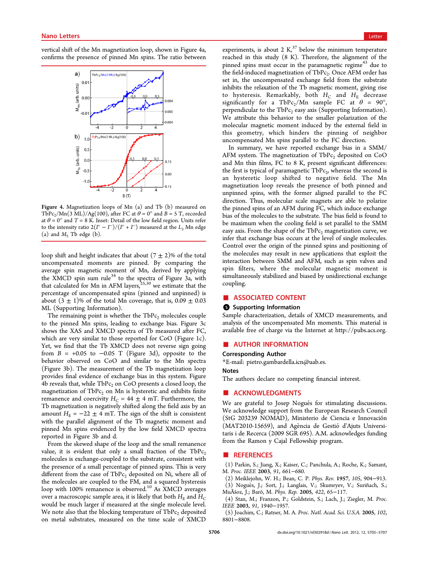<span id="page-3-0"></span>vertical shift of the Mn magnetization loop, shown in Figure 4a, confirms the presence of pinned Mn spins. The ratio between



Figure 4. Magnetization loops of Mn (a) and Tb (b) measured on TbPc<sub>2</sub>/Mn(3 ML)/Ag(100), after FC at  $\theta = 0^{\circ}$  and  $B = 5$  T, recorded at  $\theta = 0^{\circ}$  and  $T = 8$  K. Inset: Detail of the low field region. Units refer to the intensity ratio  $2(I^+ - I^-)/(I^+ + I^-)$  measured at the  $L_3$  Mn edge (a) and  $M_5$  Tb edge (b).

loop shift and height indicates that about  $(7 \pm 2)\%$  of the total uncompensated moments are pinned. By comparing the average spin magnetic moment of Mn, derived by applying the XMCD spin sum rule<sup>[34](#page-4-0)</sup> to the spectra of Figure [3](#page-2-0)a, with that calculated for Mn in AFM layers,  $25,30$  we estimate that the percentage of uncompensated spins (pinned and unpinned) is about  $(3 \pm 1)\%$  of the total Mn coverage, that is,  $0.09 \pm 0.03$ ML (Supporting Information).

The remaining point is whether the  $TbPc<sub>2</sub>$  molecules couple to the pinned Mn spins, leading to exchange bias. Figure [3c](#page-2-0) shows the XAS and XMCD spectra of Tb measured after FC, which are very similar to those reported for CoO (Figure [1c](#page-1-0)). Yet, we find that the Tb XMCD does not reverse sign going from  $B = +0.05$  to  $-0.05$  T (Figure [3](#page-2-0)d), opposite to the behavior observed on CoO and similar to the Mn spectra (Figure [3b](#page-2-0)). The measurement of the Tb magnetization loop provides final evidence of exchange bias in this system. Figure 4b reveals that, while  $TbPc<sub>2</sub>$  on CoO presents a closed loop, the magnetization of  $TbPc<sub>2</sub>$  on Mn is hysteretic and exhibits finite remanence and coercivity  $H_C = 44 \pm 4$  mT. Furthermore, the Tb magnetization is negatively shifted along the field axis by an amount  $H<sub>E</sub> = -22 \pm 4$  mT. The sign of the shift is consistent with the parallel alignment of the Tb magnetic moment and pinned Mn spins evidenced by the low field XMCD spectra reported in Figure [3b](#page-2-0) and d.

From the skewed shape of the loop and the small remanence value, it is evident that only a small fraction of the  $TbPc<sub>2</sub>$ molecules is exchange-coupled to the substrate, consistent with the presence of a small percentage of pinned spins. This is very different from the case of  $TbPc<sub>2</sub>$  deposited on Ni, where all of the molecules are coupled to the FM, and a squared hysteresis loop with [10](#page-4-0)0% remanence is observed.<sup>10</sup> As XMCD averages over a macroscopic sample area, it is likely that both  $H<sub>E</sub>$  and  $H<sub>C</sub>$ would be much larger if measured at the single molecule level. We note also that the blocking temperature of  $TbPc<sub>2</sub>$  deposited on metal substrates, measured on the time scale of XMCD

experiments, is about 2  $K<sub>2</sub><sup>37</sup>$  $K<sub>2</sub><sup>37</sup>$  $K<sub>2</sub><sup>37</sup>$  below the minimum temperature reached in this study (8 K). Therefore, the alignment of the pinned spins must occur in the paramagnetic regime<sup>[43](#page-4-0)</sup> due to the field-induced magnetization of  $TbPc<sub>2</sub>$ . Once AFM order has set in, the uncompensated exchange field from the substrate inhibits the relaxation of the Tb magnetic moment, giving rise to hysteresis. Remarkably, both  $H_C$  and  $H_E$  decrease significantly for a TbPc<sub>2</sub>/Mn sample FC at  $\theta = 90^{\circ}$ , perpendicular to the TbPc<sub>2</sub> easy axis (Supporting Information). We attribute this behavior to the smaller polarization of the molecular magnetic moment induced by the external field in this geometry, which hinders the pinning of neighbor uncompensated Mn spins parallel to the FC direction.

In summary, we have reported exchange bias in a SMM/ AFM system. The magnetization of  $TbPc<sub>2</sub>$  deposited on CoO and Mn thin films, FC to 8 K, present significant differences: the first is typical of paramagnetic  $TbPc_2$ , whereas the second is an hysteretic loop shifted to negative field. The Mn magnetization loop reveals the presence of both pinned and unpinned spins, with the former aligned parallel to the FC direction. Thus, molecular scale magnets are able to polarize the pinned spins of an AFM during FC, which induce exchange bias of the molecules to the substrate. The bias field is found to be maximum when the cooling field is set parallel to the SMM easy axis. From the shape of the  $TbPc<sub>2</sub>$  magnetization curve, we infer that exchange bias occurs at the level of single molecules. Control over the origin of the pinned spins and positioning of the molecules may result in new applications that exploit the interaction between SMM and AFM, such as spin valves and spin filters, where the molecular magnetic moment is simultaneously stabilized and biased by unidirectional exchange coupling.

### ■ ASSOCIATED CONTENT

#### **S** Supporting Information

Sample characterization, details of XMCD measurements, and analysis of the uncompensated Mn moments. This material is available free of charge via the Internet at [http://pubs.acs.org.](http://pubs.acs.org)

## ■ AUTHOR INFORMATION

#### Corresponding Author

\*E-mail: [pietro.gambardella.icn@uab.es](mailto:pietro.gambardella.icn@uab.es).

#### Notes

The authors declare no competing financial interest.

# ■ ACKNOWLEDGMENTS

We are grateful to Josep Nogués for stimulating discussions. We acknowledge support from the European Research Council (StG 203239 NOMAD), Ministerio de Ciencia e Innovacioń (MAT2010-15659), and Agència de Gestió d'Ajuts Universitaris i de Recerca (2009 SGR 695). A.M. acknowledges funding from the Ramon y Cajal Fellowship program.

## ■ REFERENCES

(1) Parkin, S.; Jiang, X.; Kaiser, C.; Panchula, A.; Roche, K.; Samant, M. Proc. IEEE 2003, 91, 661−680.

(2) Meiklejohn, W. H.; Bean, C. P. Phys. Rev. 1957, 105, 904−913. (3) Noguès, J.; Sort, J.; Langlais, V.; Skumryev, V.; Suriñach, S.; MuÃśoz, J.; Baró, M. Phys. Rep. 2005, 422, 65−117.

(4) Stan, M.; Franzon, P.; Goldstein, S.; Lach, J.; Ziegler, M. Proc. IEEE 2003, 91, 1940−1957.

(5) Joachim, C.; Ratner, M. A. Proc. Natl. Acad. Sci. U.S.A. 2005, 102, 8801−8808.